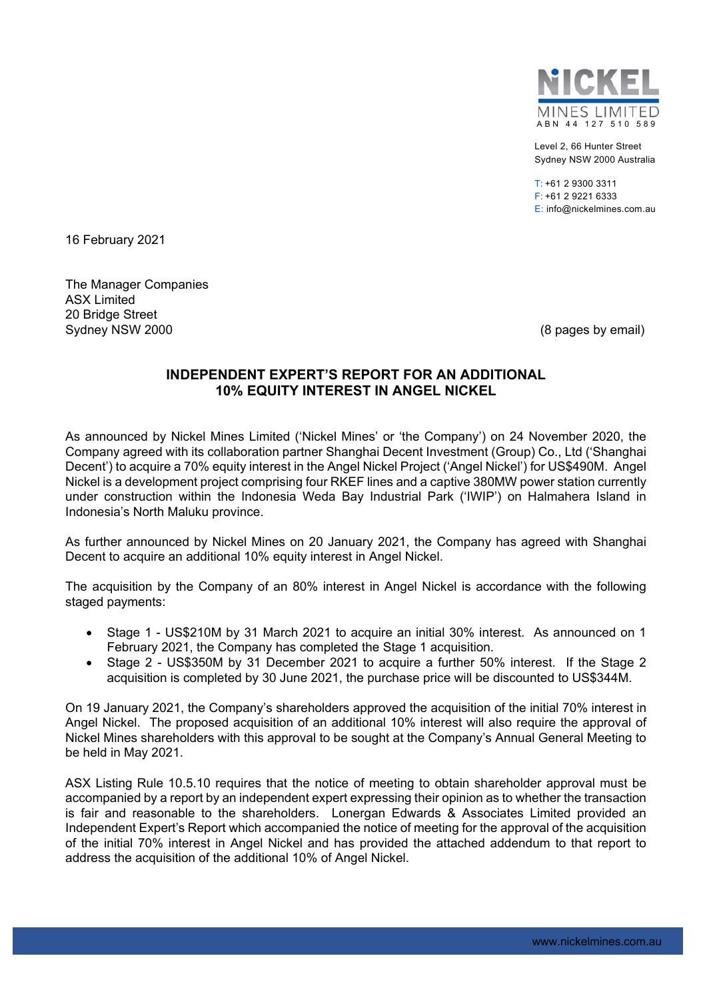

Level 2, 66 Hunter Street Sydney NSW 2000 Australia

T: +61 2 9300 3311 F: +61 2 9221 6333 E: info@nickelmines.com.au

16 February 2021

The Manager Companies ASX Limited 20 Bridge Street Sydney NSW 2000 (8 pages by email)

### **INDEPENDENT EXPERT'S REPORT FOR AN ADDITIONAL 10% EQUITY INTEREST IN ANGEL NICKEL**

As announced by Nickel Mines Limited ('Nickel Mines' or 'the Company') on 24 November 2020, the Company agreed with its collaboration partner Shanghai Decent Investment (Group) Co., Ltd ('Shanghai Decent') to acquire a 70% equity interest in the Angel Nickel Project ('Angel Nickel') for US\$490M. Angel Nickel is a development project comprising four RKEF lines and a captive 380MW power station currently under construction within the Indonesia Weda Bay Industrial Park ('IWIP') on Halmahera Island in Indonesia's North Maluku province.

As further announced by Nickel Mines on 20 January 2021, the Company has agreed with Shanghai Decent to acquire an additional 10% equity interest in Angel Nickel.

The acquisition by the Company of an 80% interest in Angel Nickel is accordance with the following staged payments:

- Stage 1 US\$210M by 31 March 2021 to acquire an initial 30% interest. As announced on 1 February 2021, the Company has completed the Stage 1 acquisition.
- Stage 2 US\$350M by 31 December 2021 to acquire a further 50% interest. If the Stage 2 acquisition is completed by 30 June 2021, the purchase price will be discounted to US\$344M.

On 19 January 2021, the Company's shareholders approved the acquisition of the initial 70% interest in Angel Nickel. The proposed acquisition of an additional 10% interest will also require the approval of Nickel Mines shareholders with this approval to be sought at the Company's Annual General Meeting to be held in May 2021.

ASX Listing Rule 10.5.10 requires that the notice of meeting to obtain shareholder approval must be accompanied by a report by an independent expert expressing their opinion as to whether the transaction is fair and reasonable to the shareholders. Lonergan Edwards & Associates Limited provided an Independent Expert's Report which accompanied the notice of meeting for the approval of the acquisition of the initial 70% interest in Angel Nickel and has provided the attached addendum to that report to address the acquisition of the additional 10% of Angel Nickel.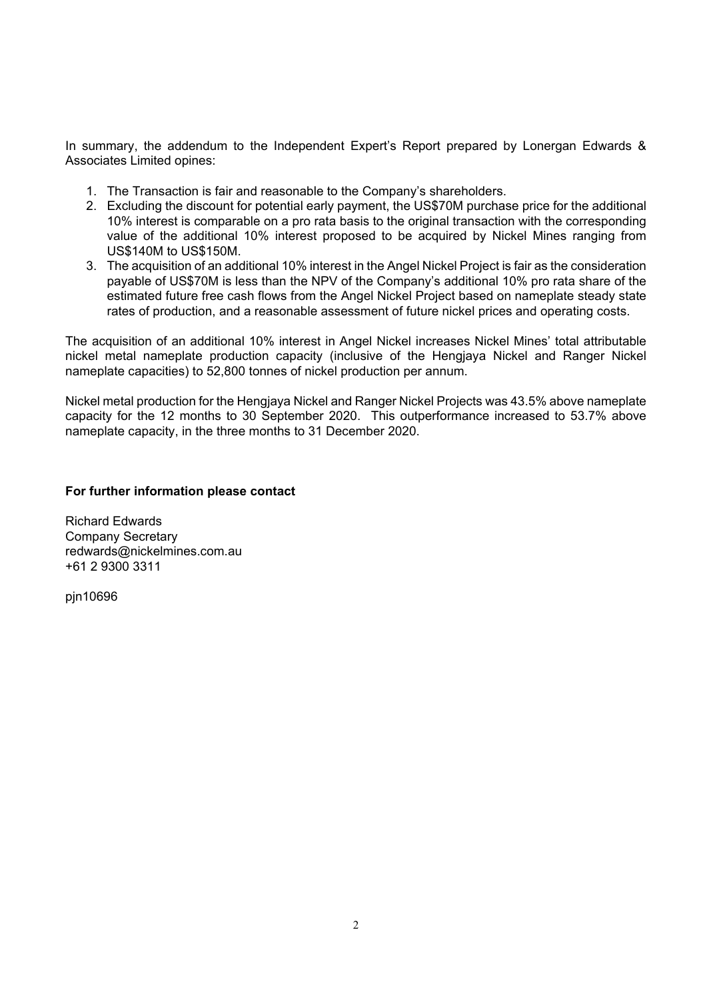In summary, the addendum to the Independent Expert's Report prepared by Lonergan Edwards & Associates Limited opines:

- 1. The Transaction is fair and reasonable to the Company's shareholders.
- 2. Excluding the discount for potential early payment, the US\$70M purchase price for the additional 10% interest is comparable on a pro rata basis to the original transaction with the corresponding value of the additional 10% interest proposed to be acquired by Nickel Mines ranging from US\$140M to US\$150M.
- 3. The acquisition of an additional 10% interest in the Angel Nickel Project is fair as the consideration payable of US\$70M is less than the NPV of the Company's additional 10% pro rata share of the estimated future free cash flows from the Angel Nickel Project based on nameplate steady state rates of production, and a reasonable assessment of future nickel prices and operating costs.

The acquisition of an additional 10% interest in Angel Nickel increases Nickel Mines' total attributable nickel metal nameplate production capacity (inclusive of the Hengjaya Nickel and Ranger Nickel nameplate capacities) to 52,800 tonnes of nickel production per annum.

Nickel metal production for the Hengjaya Nickel and Ranger Nickel Projects was 43.5% above nameplate capacity for the 12 months to 30 September 2020. This outperformance increased to 53.7% above nameplate capacity, in the three months to 31 December 2020.

#### **For further information please contact**

Richard Edwards Company Secretary redwards@nickelmines.com.au +61 2 9300 3311

pjn10696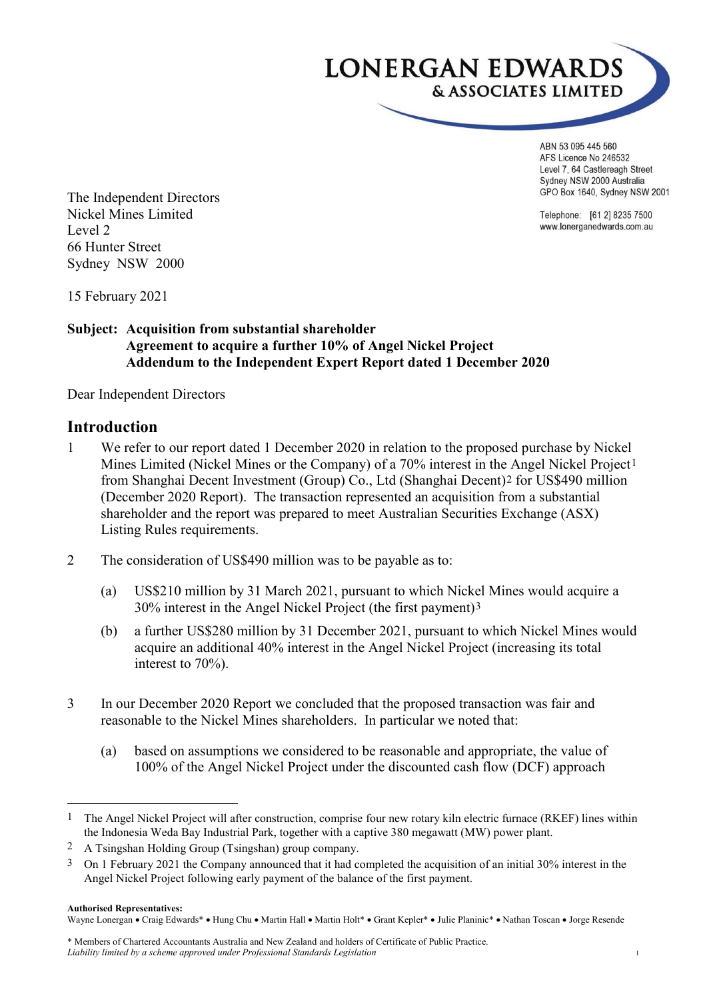

ABN 53 095 445 560 AFS Licence No 246532 Level 7, 64 Castlereagh Street Sydney NSW 2000 Australia GPO Box 1640, Sydney NSW 2001

Telephone: [61 2] 8235 7500 www.lonerganedwards.com.au

The Independent Directors Nickel Mines Limited Level 2 66 Hunter Street Sydney NSW 2000

15 February 2021

### **Subject: Acquisition from substantial shareholder Agreement to acquire a further 10% of Angel Nickel Project Addendum to the Independent Expert Report dated 1 December 2020**

Dear Independent Directors

### **Introduction**

- 1 We refer to our report dated 1 December 2020 in relation to the proposed purchase by Nickel Mines Limited (Nickel Mines or the Company) of a 70% interest in the Angel Nickel Project[1](#page-2-0) from Shanghai Decent Investment (Group) Co., Ltd (Shanghai Decent)[2](#page-2-1) for US\$490 million (December 2020 Report). The transaction represented an acquisition from a substantial shareholder and the report was prepared to meet Australian Securities Exchange (ASX) Listing Rules requirements.
- 2 The consideration of US\$490 million was to be payable as to:
	- (a) US\$210 million by 31 March 2021, pursuant to which Nickel Mines would acquire a 30% interest in the Angel Nickel Project (the first payment)[3](#page-2-2)
	- (b) a further US\$280 million by 31 December 2021, pursuant to which Nickel Mines would acquire an additional 40% interest in the Angel Nickel Project (increasing its total interest to 70%).
- 3 In our December 2020 Report we concluded that the proposed transaction was fair and reasonable to the Nickel Mines shareholders. In particular we noted that:
	- (a) based on assumptions we considered to be reasonable and appropriate, the value of 100% of the Angel Nickel Project under the discounted cash flow (DCF) approach

#### **Authorised Representatives:**

Wayne Lonergan • Craig Edwards\* • Hung Chu • Martin Hall • Martin Holt\* • Grant Kepler\* • Julie Planinic\* • Nathan Toscan • Jorge Resende

<span id="page-2-0"></span> <sup>1</sup> The Angel Nickel Project will after construction, comprise four new rotary kiln electric furnace (RKEF) lines within the Indonesia Weda Bay Industrial Park, together with a captive 380 megawatt (MW) power plant.

<span id="page-2-1"></span><sup>2</sup> A Tsingshan Holding Group (Tsingshan) group company.

<span id="page-2-2"></span><sup>3</sup> On 1 February 2021 the Company announced that it had completed the acquisition of an initial 30% interest in the Angel Nickel Project following early payment of the balance of the first payment.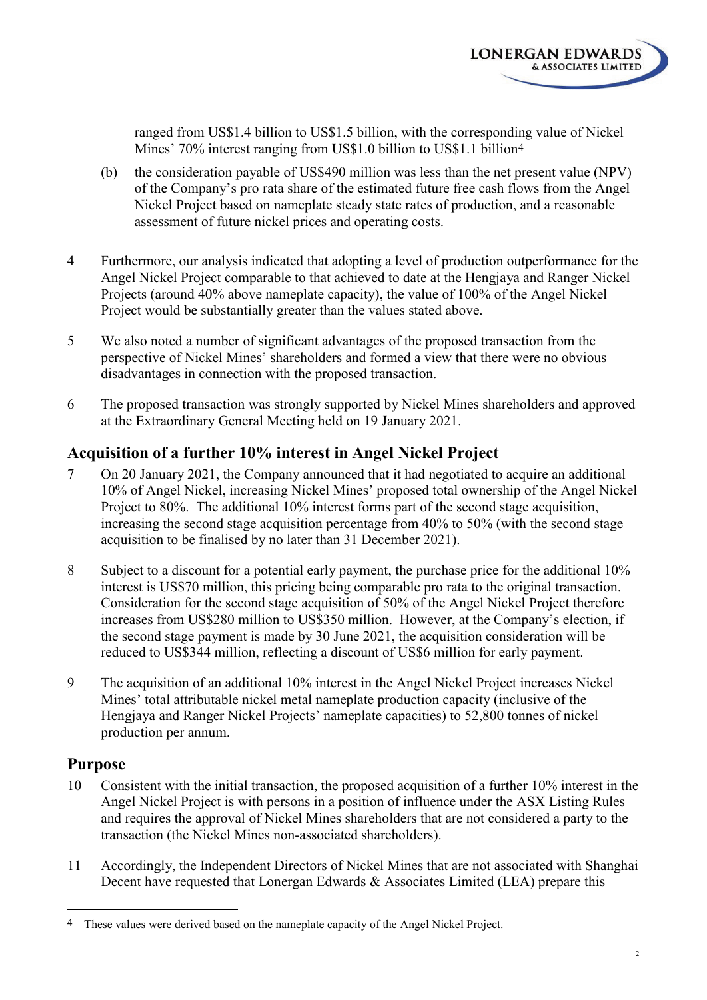

ranged from US\$1.4 billion to US\$1.5 billion, with the corresponding value of Nickel Mines' 70% interest ranging from US\$1.0 billion to US\$1.1 billion<sup>[4](#page-3-0)</sup>

- (b) the consideration payable of US\$490 million was less than the net present value (NPV) of the Company's pro rata share of the estimated future free cash flows from the Angel Nickel Project based on nameplate steady state rates of production, and a reasonable assessment of future nickel prices and operating costs.
- 4 Furthermore, our analysis indicated that adopting a level of production outperformance for the Angel Nickel Project comparable to that achieved to date at the Hengjaya and Ranger Nickel Projects (around 40% above nameplate capacity), the value of 100% of the Angel Nickel Project would be substantially greater than the values stated above.
- 5 We also noted a number of significant advantages of the proposed transaction from the perspective of Nickel Mines' shareholders and formed a view that there were no obvious disadvantages in connection with the proposed transaction.
- 6 The proposed transaction was strongly supported by Nickel Mines shareholders and approved at the Extraordinary General Meeting held on 19 January 2021.

# **Acquisition of a further 10% interest in Angel Nickel Project**

- 7 On 20 January 2021, the Company announced that it had negotiated to acquire an additional 10% of Angel Nickel, increasing Nickel Mines' proposed total ownership of the Angel Nickel Project to 80%. The additional 10% interest forms part of the second stage acquisition, increasing the second stage acquisition percentage from 40% to 50% (with the second stage acquisition to be finalised by no later than 31 December 2021).
- 8 Subject to a discount for a potential early payment, the purchase price for the additional 10% interest is US\$70 million, this pricing being comparable pro rata to the original transaction. Consideration for the second stage acquisition of 50% of the Angel Nickel Project therefore increases from US\$280 million to US\$350 million. However, at the Company's election, if the second stage payment is made by 30 June 2021, the acquisition consideration will be reduced to US\$344 million, reflecting a discount of US\$6 million for early payment.
- 9 The acquisition of an additional 10% interest in the Angel Nickel Project increases Nickel Mines' total attributable nickel metal nameplate production capacity (inclusive of the Hengjaya and Ranger Nickel Projects' nameplate capacities) to 52,800 tonnes of nickel production per annum.

# **Purpose**

- 10 Consistent with the initial transaction, the proposed acquisition of a further 10% interest in the Angel Nickel Project is with persons in a position of influence under the ASX Listing Rules and requires the approval of Nickel Mines shareholders that are not considered a party to the transaction (the Nickel Mines non-associated shareholders).
- 11 Accordingly, the Independent Directors of Nickel Mines that are not associated with Shanghai Decent have requested that Lonergan Edwards & Associates Limited (LEA) prepare this

<span id="page-3-0"></span><sup>&</sup>lt;sup>4</sup> These values were derived based on the nameplate capacity of the Angel Nickel Project.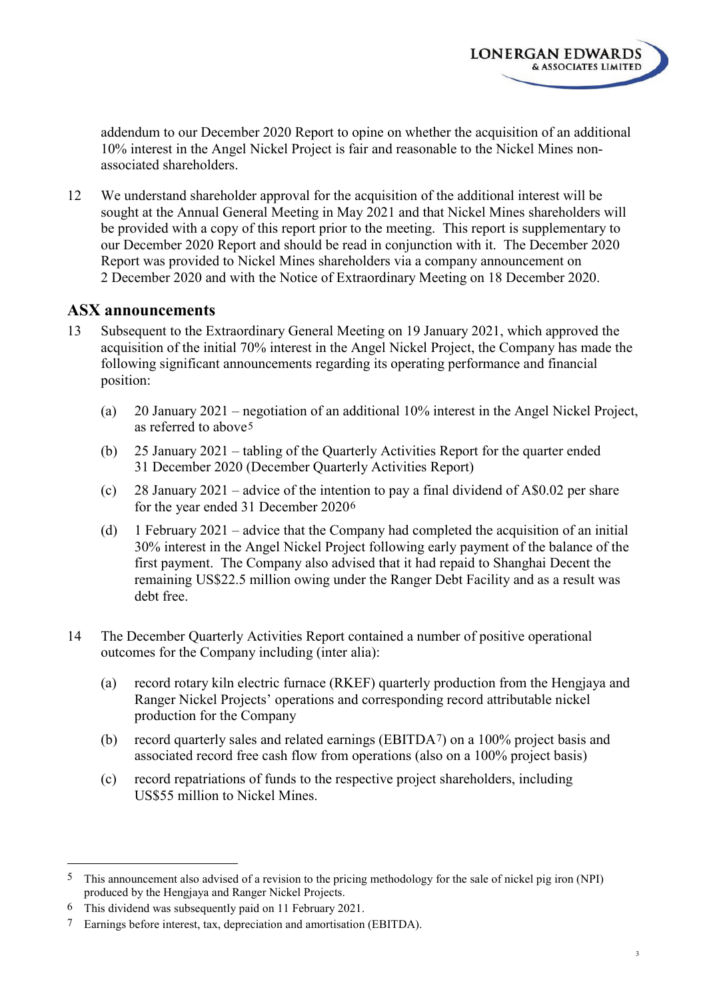**LONERGAN EDWARDS** 

& ASSOCIATES LIMITED

12 We understand shareholder approval for the acquisition of the additional interest will be sought at the Annual General Meeting in May 2021 and that Nickel Mines shareholders will be provided with a copy of this report prior to the meeting. This report is supplementary to our December 2020 Report and should be read in conjunction with it. The December 2020 Report was provided to Nickel Mines shareholders via a company announcement on 2 December 2020 and with the Notice of Extraordinary Meeting on 18 December 2020.

# **ASX announcements**

- 13 Subsequent to the Extraordinary General Meeting on 19 January 2021, which approved the acquisition of the initial 70% interest in the Angel Nickel Project, the Company has made the following significant announcements regarding its operating performance and financial position:
	- (a) 20 January 2021 negotiation of an additional 10% interest in the Angel Nickel Project, as referred to above[5](#page-4-0)
	- (b) 25 January 2021 tabling of the Quarterly Activities Report for the quarter ended 31 December 2020 (December Quarterly Activities Report)
	- (c) 28 January 2021 advice of the intention to pay a final dividend of A\$0.02 per share for the year ended 31 December 2020[6](#page-4-1)
	- (d) 1 February 2021 advice that the Company had completed the acquisition of an initial 30% interest in the Angel Nickel Project following early payment of the balance of the first payment. The Company also advised that it had repaid to Shanghai Decent the remaining US\$22.5 million owing under the Ranger Debt Facility and as a result was debt free.
- 14 The December Quarterly Activities Report contained a number of positive operational outcomes for the Company including (inter alia):
	- (a) record rotary kiln electric furnace (RKEF) quarterly production from the Hengjaya and Ranger Nickel Projects' operations and corresponding record attributable nickel production for the Company
	- (b) record quarterly sales and related earnings (EBITDA[7](#page-4-2)) on a 100% project basis and associated record free cash flow from operations (also on a 100% project basis)
	- (c) record repatriations of funds to the respective project shareholders, including US\$55 million to Nickel Mines.

<span id="page-4-0"></span> <sup>5</sup> This announcement also advised of a revision to the pricing methodology for the sale of nickel pig iron (NPI) produced by the Hengjaya and Ranger Nickel Projects.

<span id="page-4-1"></span><sup>6</sup> This dividend was subsequently paid on 11 February 2021.

<span id="page-4-2"></span><sup>7</sup> Earnings before interest, tax, depreciation and amortisation (EBITDA).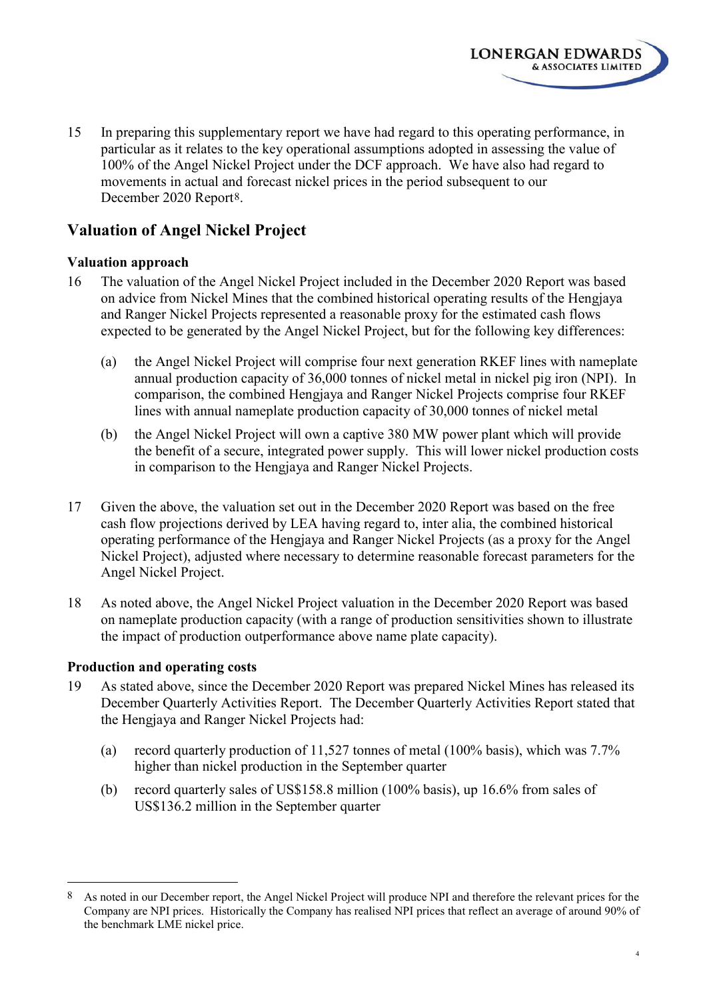15 In preparing this supplementary report we have had regard to this operating performance, in particular as it relates to the key operational assumptions adopted in assessing the value of 100% of the Angel Nickel Project under the DCF approach. We have also had regard to movements in actual and forecast nickel prices in the period subsequent to our December 2020 Report[8.](#page-5-0)

**LONERGAN EDWARDS** 

& ASSOCIATES LIMITED

# **Valuation of Angel Nickel Project**

### **Valuation approach**

- 16 The valuation of the Angel Nickel Project included in the December 2020 Report was based on advice from Nickel Mines that the combined historical operating results of the Hengjaya and Ranger Nickel Projects represented a reasonable proxy for the estimated cash flows expected to be generated by the Angel Nickel Project, but for the following key differences:
	- (a) the Angel Nickel Project will comprise four next generation RKEF lines with nameplate annual production capacity of 36,000 tonnes of nickel metal in nickel pig iron (NPI). In comparison, the combined Hengjaya and Ranger Nickel Projects comprise four RKEF lines with annual nameplate production capacity of 30,000 tonnes of nickel metal
	- (b) the Angel Nickel Project will own a captive 380 MW power plant which will provide the benefit of a secure, integrated power supply. This will lower nickel production costs in comparison to the Hengjaya and Ranger Nickel Projects.
- 17 Given the above, the valuation set out in the December 2020 Report was based on the free cash flow projections derived by LEA having regard to, inter alia, the combined historical operating performance of the Hengjaya and Ranger Nickel Projects (as a proxy for the Angel Nickel Project), adjusted where necessary to determine reasonable forecast parameters for the Angel Nickel Project.
- 18 As noted above, the Angel Nickel Project valuation in the December 2020 Report was based on nameplate production capacity (with a range of production sensitivities shown to illustrate the impact of production outperformance above name plate capacity).

### **Production and operating costs**

- 19 As stated above, since the December 2020 Report was prepared Nickel Mines has released its December Quarterly Activities Report. The December Quarterly Activities Report stated that the Hengjaya and Ranger Nickel Projects had:
	- (a) record quarterly production of 11,527 tonnes of metal (100% basis), which was 7.7% higher than nickel production in the September quarter
	- (b) record quarterly sales of US\$158.8 million (100% basis), up 16.6% from sales of US\$136.2 million in the September quarter

<span id="page-5-0"></span><sup>8</sup> As noted in our December report, the Angel Nickel Project will produce NPI and therefore the relevant prices for the Company are NPI prices. Historically the Company has realised NPI prices that reflect an average of around 90% of the benchmark LME nickel price.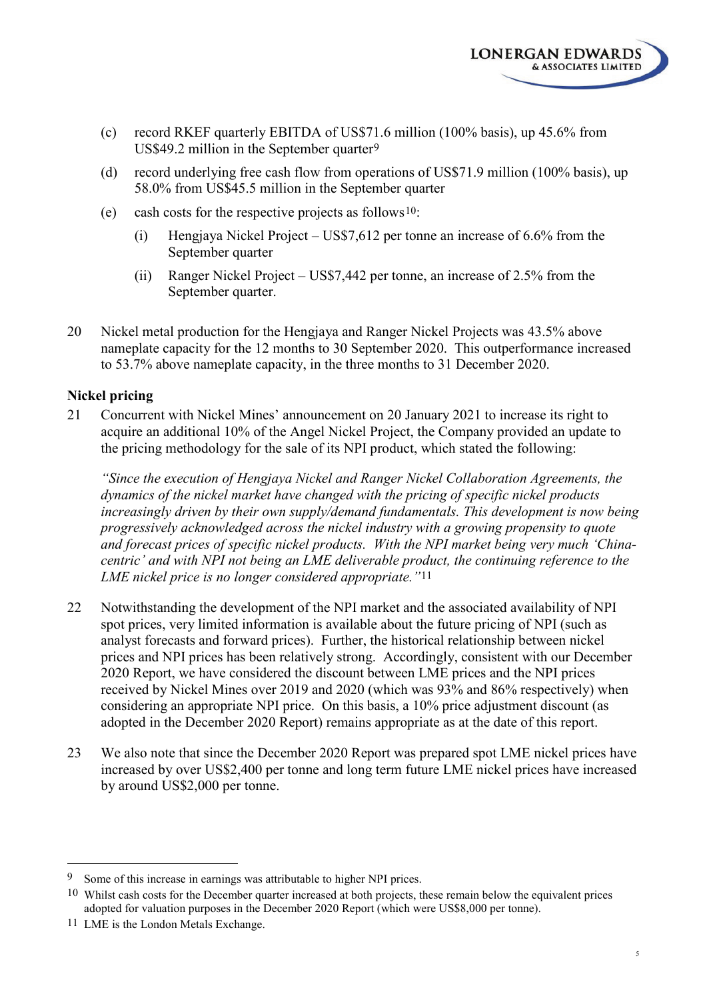

- (c) record RKEF quarterly EBITDA of US\$71.6 million (100% basis), up 45.6% from US\$49.2 million in the September quarter[9](#page-6-0)
- (d) record underlying free cash flow from operations of US\$71.9 million (100% basis), up 58.0% from US\$45.5 million in the September quarter
- (e) cash costs for the respective projects as follows[10:](#page-6-1)
	- (i) Hengjaya Nickel Project US\$7,612 per tonne an increase of 6.6% from the September quarter
	- (ii) Ranger Nickel Project US\$7,442 per tonne, an increase of 2.5% from the September quarter.
- 20 Nickel metal production for the Hengjaya and Ranger Nickel Projects was 43.5% above nameplate capacity for the 12 months to 30 September 2020. This outperformance increased to 53.7% above nameplate capacity, in the three months to 31 December 2020.

### **Nickel pricing**

21 Concurrent with Nickel Mines' announcement on 20 January 2021 to increase its right to acquire an additional 10% of the Angel Nickel Project, the Company provided an update to the pricing methodology for the sale of its NPI product, which stated the following:

*"Since the execution of Hengjaya Nickel and Ranger Nickel Collaboration Agreements, the dynamics of the nickel market have changed with the pricing of specific nickel products increasingly driven by their own supply/demand fundamentals. This development is now being progressively acknowledged across the nickel industry with a growing propensity to quote and forecast prices of specific nickel products. With the NPI market being very much 'Chinacentric' and with NPI not being an LME deliverable product, the continuing reference to the LME nickel price is no longer considered appropriate."*[11](#page-6-2)

- 22 Notwithstanding the development of the NPI market and the associated availability of NPI spot prices, very limited information is available about the future pricing of NPI (such as analyst forecasts and forward prices). Further, the historical relationship between nickel prices and NPI prices has been relatively strong. Accordingly, consistent with our December 2020 Report, we have considered the discount between LME prices and the NPI prices received by Nickel Mines over 2019 and 2020 (which was 93% and 86% respectively) when considering an appropriate NPI price. On this basis, a 10% price adjustment discount (as adopted in the December 2020 Report) remains appropriate as at the date of this report.
- 23 We also note that since the December 2020 Report was prepared spot LME nickel prices have increased by over US\$2,400 per tonne and long term future LME nickel prices have increased by around US\$2,000 per tonne.

<span id="page-6-0"></span> <sup>9</sup> Some of this increase in earnings was attributable to higher NPI prices.

<span id="page-6-1"></span><sup>10</sup> Whilst cash costs for the December quarter increased at both projects, these remain below the equivalent prices adopted for valuation purposes in the December 2020 Report (which were US\$8,000 per tonne).

<span id="page-6-2"></span><sup>11</sup> LME is the London Metals Exchange.